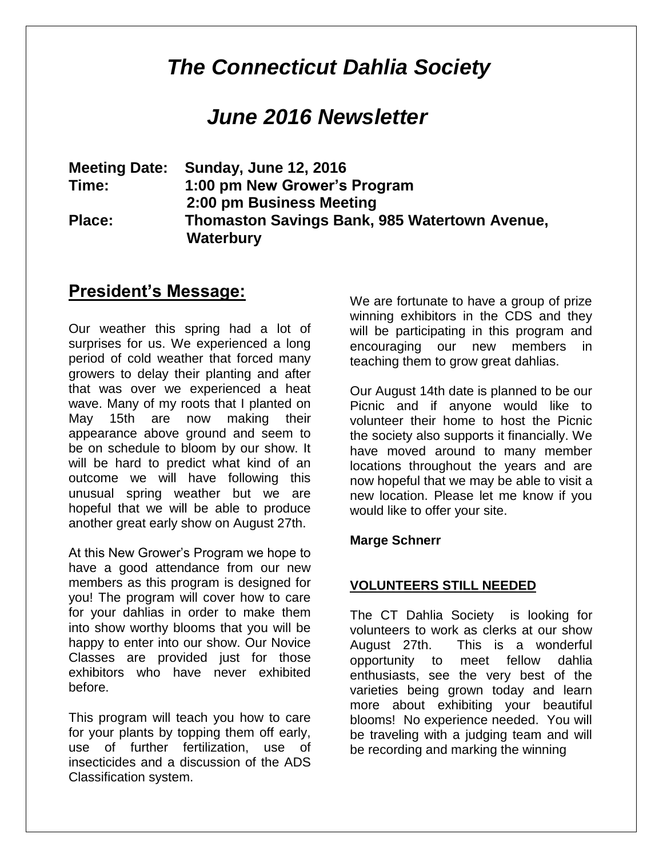# *The Connecticut Dahlia Society*

## *June 2016 Newsletter*

**Meeting Date: Sunday, June 12, 2016 Time: 1:00 pm New Grower's Program 2:00 pm Business Meeting Place: Thomaston Savings Bank, 985 Watertown Avenue, Waterbury** 

### **President's Message:**

Our weather this spring had a lot of surprises for us. We experienced a long period of cold weather that forced many growers to delay their planting and after that was over we experienced a heat wave. Many of my roots that I planted on May 15th are now making their appearance above ground and seem to be on schedule to bloom by our show. It will be hard to predict what kind of an outcome we will have following this unusual spring weather but we are hopeful that we will be able to produce another great early show on August 27th.

At this New Grower's Program we hope to have a good attendance from our new members as this program is designed for you! The program will cover how to care for your dahlias in order to make them into show worthy blooms that you will be happy to enter into our show. Our Novice Classes are provided just for those exhibitors who have never exhibited before.

This program will teach you how to care for your plants by topping them off early, use of further fertilization, use of insecticides and a discussion of the ADS Classification system.

We are fortunate to have a group of prize winning exhibitors in the CDS and they will be participating in this program and encouraging our new members in teaching them to grow great dahlias.

Our August 14th date is planned to be our Picnic and if anyone would like to volunteer their home to host the Picnic the society also supports it financially. We have moved around to many member locations throughout the years and are now hopeful that we may be able to visit a new location. Please let me know if you would like to offer your site.

#### **Marge Schnerr**

#### **VOLUNTEERS STILL NEEDED**

The CT Dahlia Society is looking for volunteers to work as clerks at our show August 27th. This is a wonderful opportunity to meet fellow dahlia enthusiasts, see the very best of the varieties being grown today and learn more about exhibiting your beautiful blooms! No experience needed. You will be traveling with a judging team and will be recording and marking the winning